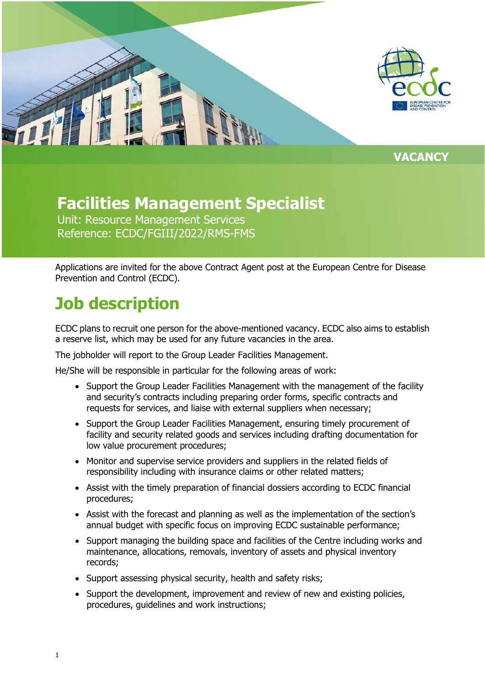

**VACANCY**

### **Facilities Management Specialist**

Unit: Resource Management Services Reference: ECDC/FGIII/2022/RMS-FMS

Applications are invited for the above Contract Agent post at the European Centre for Disease Prevention and Control (ECDC).

## **Job description**

ECDC plans to recruit one person for the above-mentioned vacancy. ECDC also aims to establish a reserve list, which may be used for any future vacancies in the area.

The jobholder will report to the Group Leader Facilities Management.

He/She will be responsible in particular for the following areas of work:

- Support the Group Leader Facilities Management with the management of the facility and security's contracts including preparing order forms, specific contracts and requests for services, and liaise with external suppliers when necessary;
- Support the Group Leader Facilities Management, ensuring timely procurement of facility and security related goods and services including drafting documentation for low value procurement procedures;
- Monitor and supervise service providers and suppliers in the related fields of responsibility including with insurance claims or other related matters;
- Assist with the timely preparation of financial dossiers according to ECDC financial procedures;
- Assist with the forecast and planning as well as the implementation of the section's annual budget with specific focus on improving ECDC sustainable performance;
- Support managing the building space and facilities of the Centre including works and maintenance, allocations, removals, inventory of assets and physical inventory records;
- Support assessing physical security, health and safety risks;
- Support the development, improvement and review of new and existing policies, procedures, guidelines and work instructions;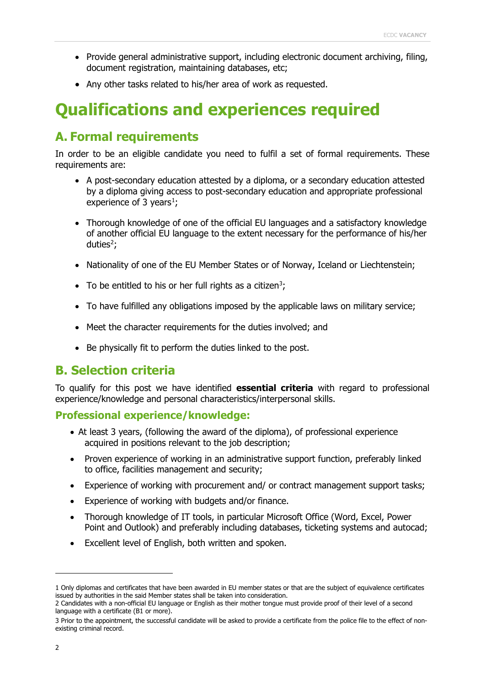- Provide general administrative support, including electronic document archiving, filing, document registration, maintaining databases, etc;
- Any other tasks related to his/her area of work as requested.

## **Qualifications and experiences required**

### **A. Formal requirements**

In order to be an eligible candidate you need to fulfil a set of formal requirements. These requirements are:

- A post-secondary education attested by a diploma, or a secondary education attested by a diploma giving access to post-secondary education and appropriate professional experience of 3 years<sup>[1](#page-1-0)</sup>;
- Thorough knowledge of one of the official EU languages and a satisfactory knowledge of another official EU language to the extent necessary for the performance of his/her duties<sup>[2](#page-1-1)</sup>;
- Nationality of one of the EU Member States or of Norway, Iceland or Liechtenstein;
- To be entitled to his or her full rights as a citizen<sup>[3](#page-1-2)</sup>;
- To have fulfilled any obligations imposed by the applicable laws on military service;
- Meet the character requirements for the duties involved; and
- Be physically fit to perform the duties linked to the post.

#### **B. Selection criteria**

To qualify for this post we have identified **essential criteria** with regard to professional experience/knowledge and personal characteristics/interpersonal skills.

#### **Professional experience/knowledge:**

- At least 3 years, (following the award of the diploma), of professional experience acquired in positions relevant to the job description;
- Proven experience of working in an administrative support function, preferably linked to office, facilities management and security;
- Experience of working with procurement and/ or contract management support tasks;
- Experience of working with budgets and/or finance.
- Thorough knowledge of IT tools, in particular Microsoft Office (Word, Excel, Power Point and Outlook) and preferably including databases, ticketing systems and autocad;
- Excellent level of English, both written and spoken.

<span id="page-1-0"></span><sup>1</sup> Only diplomas and certificates that have been awarded in EU member states or that are the subject of equivalence certificates issued by authorities in the said Member states shall be taken into consideration.

<span id="page-1-1"></span><sup>2</sup> Candidates with a non-official EU language or English as their mother tongue must provide proof of their level of a second language with a certificate (B1 or more).

<span id="page-1-2"></span><sup>3</sup> Prior to the appointment, the successful candidate will be asked to provide a certificate from the police file to the effect of nonexisting criminal record.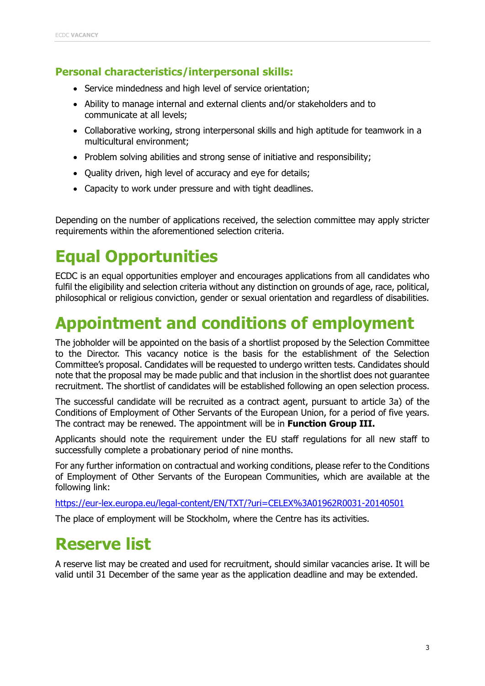#### **Personal characteristics/interpersonal skills:**

- Service mindedness and high level of service orientation;
- Ability to manage internal and external clients and/or stakeholders and to communicate at all levels;
- Collaborative working, strong interpersonal skills and high aptitude for teamwork in a multicultural environment;
- Problem solving abilities and strong sense of initiative and responsibility;
- Quality driven, high level of accuracy and eye for details;
- Capacity to work under pressure and with tight deadlines.

Depending on the number of applications received, the selection committee may apply stricter requirements within the aforementioned selection criteria.

# **Equal Opportunities**

ECDC is an equal opportunities employer and encourages applications from all candidates who fulfil the eligibility and selection criteria without any distinction on grounds of age, race, political, philosophical or religious conviction, gender or sexual orientation and regardless of disabilities.

## **Appointment and conditions of employment**

The jobholder will be appointed on the basis of a shortlist proposed by the Selection Committee to the Director. This vacancy notice is the basis for the establishment of the Selection Committee's proposal. Candidates will be requested to undergo written tests. Candidates should note that the proposal may be made public and that inclusion in the shortlist does not guarantee recruitment. The shortlist of candidates will be established following an open selection process.

The successful candidate will be recruited as a contract agent, pursuant to article 3a) of the Conditions of Employment of Other Servants of the European Union, for a period of five years. The contract may be renewed. The appointment will be in **Function Group III.**

Applicants should note the requirement under the EU staff regulations for all new staff to successfully complete a probationary period of nine months.

For any further information on contractual and working conditions, please refer to the Conditions of Employment of Other Servants of the European Communities, which are available at the following link:

<https://eur-lex.europa.eu/legal-content/EN/TXT/?uri=CELEX%3A01962R0031-20140501>

The place of employment will be Stockholm, where the Centre has its activities.

### **Reserve list**

A reserve list may be created and used for recruitment, should similar vacancies arise. It will be valid until 31 December of the same year as the application deadline and may be extended.